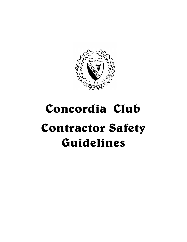

# Concordia Club Contractor Safety Guidelines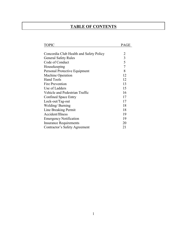# **TABLE OF CONTENTS**

| <b>TOPIC</b>                            | <b>PAGE</b>    |
|-----------------------------------------|----------------|
|                                         |                |
| Concordia Club Health and Safety Policy | 2              |
| <b>General Safety Rules</b>             | $\overline{3}$ |
| Code of Conduct                         | 5              |
| Housekeeping                            | $\overline{7}$ |
| Personal Protective Equipment           | 8              |
| <b>Machine Operation</b>                | 12             |
| <b>Hand Tools</b>                       | 12             |
| Fire Prevention                         | 13             |
| Use of Ladders                          | 15             |
| Vehicle and Pedestrian Traffic          | 16             |
| <b>Confined Space Entry</b>             | 17             |
| Lock-out/Tag-out                        | 17             |
| Welding/Burning                         | 18             |
| Line Breaking Permit                    | 18             |
| Accident/Illness                        | 19             |
| <b>Emergency Notification</b>           | 19             |
| <b>Insurance Requirements</b>           | 20             |
| Contractor's Safety Agreement           | 21             |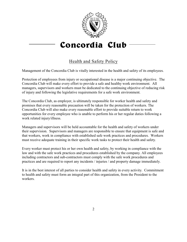

# Concordia Club

# Health and Safety Policy

Management of the Concordia Club is vitally interested in the health and safety of its employees.

Protection of employees from injury or occupational disease is a major continuing objective. The Concordia Club will make every effort to provide a safe and healthy work environment. All managers, supervisors and workers must be dedicated to the continuing objective of reducing risk of injury and following the legislative requirements for a safe work environment.

The Concordia Club, as employer, is ultimately responsible for worker health and safety and promises that every reasonable precaution will be taken for the protection of workers. The Concordia Club will also make every reasonable effort to provide suitable return to work opportunities for every employee who is unable to perform his or her regular duties following a work related injury/illness.

Managers and supervisors will be held accountable for the health and safety of workers under their supervision. Supervisors and managers are responsible to ensure that equipment is safe and that workers, work in compliance with established safe work practices and procedures. Workers must receive adequate training in their specific work tasks to protect their health and safety.

Every worker must protect his or her own health and safety, by working in compliance with the law and with the safe work practices and procedures established by the company. All employees including contractors and sub-contractors must comply with the safe work procedures and practices and are required to report any incidents / injuries / and property damage immediately.

It is in the best interest of all parties to consider health and safety in every activity. Commitment to health and safety must form an integral part of this organization, from the President to the workers.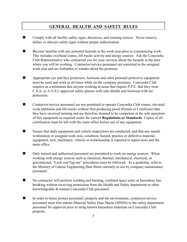# **GENERAL HEALTH AND SAFETY RULES**

- \* Comply with all facility safety signs, directives, and warning notices. Never remove, deface or obscure safety signs without proper authorization
- W Become familiar with any potential hazards in the work area prior to commencing work. This includes overhead cranes, lift trucks activity and energy sources. Ask the Concordia Club Representative who contracted you for your services about the hazards in the area where you will be working. Contractor/service personnel are restricted to the assigned work area and are forbidden to wander about the premises.
- \* Appropriate eye and face protectors, footwear and other personal protective equipment must be used and worn at all times while on the company premises. Concordia Club requires as a minimum that anyone working in areas that require P.P.E. that they wear C.S.A. or A.N.S.I. approved safety glasses with side shields and footwear with toe protection.
- \* Contractor/service personnel are not permitted to operate Concordia Club cranes, elevated work platforms and lift-trucks without first producing proof (Permit or Certificate) that they have received training and are therefore deemed to be competent at the safe operation of this equipment as required under the current **Regulations or Standards**. Copies of all certification must be left with the main office before use of any equipment.
- W Ensure that daily equipment and vehicle inspections are conducted, and that any unsafe workstation or assigned work area, condition, hazard, practice or defective material, equipment, tool, machinery, vehicle or workmanship is reported to supervisors and the main office.
- $\star$  Only trained and authorized personnel are permitted to work on energy sources. When working with energy sources such as chemical, thermal, mechanical, electrical, or gravitational, "Lock-out/Tag-out" procedures must be followed. As a guideline, refer to the Ministry of Labour Engineering Data Sheet currently in use by company maintenance personnel.
- \* No contractor will perform welding and burning, confined space entry or hazardous line breaking without receiving permission from the Health and Safety department or other knowledgeable & trained Concordia Club personnel.
- \* In order to better protect personnel, property and the environment, contractor/service personnel must first submit Material Safety Data Sheets (MSDS) to the safety department personnel for approval prior to using known hazardous materials on Concordia Club property.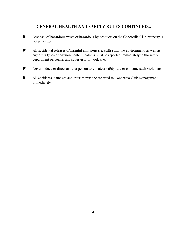# **GENERAL HEALTH AND SAFETY RULES CONTINUED...**

- \* Disposal of hazardous waste or hazardous by-products on the Concordia Club property is not permitted.
- W All accidental releases of harmful emissions (ie. spills) into the environment, as well as any other types of environmental incidents must be reported immediately to the safety department personnel and supervisor of work site.
- Wever induce or direct another person to violate a safety rule or condone such violations.
- W All accidents, damages and injuries must be reported to Concordia Club management immediately.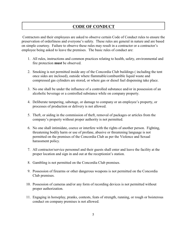# **CODE OF CONDUCT**

Contractors and their employees are asked to observe certain Code of Conduct rules to ensure the preservation of orderliness and everyone's safety. These rules are general in nature and are based on simple courtesy. Failure to observe these rules may result in a contractor or a contractor's employee being asked to leave the premises. The basic rules of conduct are:

- 1. All rules, instructions and common practices relating to health, safety, environmental and fire protection **must** be observed.
- 2. Smoking is not permitted inside any of the Concordia Club buildings ( including the tent once sides are inclosed), outside where flammable/combustible liquid waste and compressed gas cylinders are stored, or where gas or diesel fuel dispensing take place.
- 3. No one shall be under the influence of a controlled substance and/or in possession of an alcoholic beverage or a controlled substance while on company property.
- 4. Deliberate tampering, sabotage, or damage to company or an employee's property, or processes of production or delivery is not allowed.
- 5. Theft, or aiding in the commission of theft, removal of packages or articles from the company's property without proper authority is not permitted.
- 6. No one shall intimidate, coerce or interfere with the rights of another person. Fighting, threatening bodily harm or use of profane, abusive or threatening language is not permitted on the premises of the Concordia Club as per the Violence and Sexual harassment policy.
- 7. All contractor/service personnel and their guests shall enter and leave the facility at the proper location and sign in and out at the receptionist's station.
- 8. Gambling is not permitted on the Concordia Club premises.
- 9. Possession of firearms or other dangerous weapons is not permitted on the Concordia Club premises.
- 10. Possession of cameras and/or any form of recording devices is not permitted without proper authorization.
- 11. Engaging in horseplay, pranks, contests, feats of strength, running, or rough or boisterous conduct on company premises is not allowed.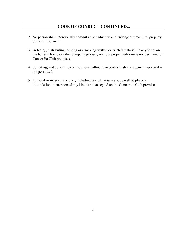# **CODE OF CONDUCT CONTINUED...**

- 12. No person shall intentionally commit an act which would endanger human life, property, or the environment.
- 13. Defacing, distributing, posting or removing written or printed material, in any form, on the bulletin board or other company property without proper authority is not permitted on Concordia Club premises.
- 14. Soliciting, and collecting contributions without Concordia Club management approval is not permitted.
- 15. Immoral or indecent conduct, including sexual harassment, as well as physical intimidation or coercion of any kind is not accepted on the Concordia Club premises.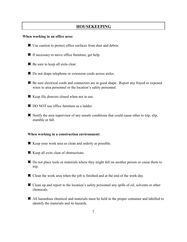# **HOUSEKEEPING**

#### **When working in an office area:**

- W Use caution to protect office surfaces from dust and debris.
- W If necessary to move office furniture, get help.
- **<sup><del></del>** $\bullet$  Be sure to keep all exits clear.</sup>
- W Do not drape telephone or extension cords across aisles.
- W Be sure electrical cords and connectors are in good shape. Report any frayed or exposed wires to area personnel or the location's safety personnel.
- W Keep file drawers closed when not in use.
- \* DO NOT use office furniture as a ladder.
- $\star$  Notify the area supervisor of any unsafe conditions that could cause other to trip, slip, stumble or fall.

#### **When working in a construction environment:**

- W Keep your work area as clean and orderly as possible.
- W Keep all exits clear of obstructions.
- W Do not place tools or materials where they might fall on another person or cause them to trip.
- W Clean the work area when the job is finished and at the end of the work day.
- W Clean up and report to the location's safety personnel any spills of oil, solvents or other chemicals.
- W All hazardous chemical and materials must be held in the proper container and labelled to identify the materials and its hazards.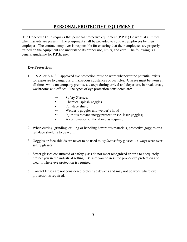The Concordia Club requires that personal protective equipment (P.P.E.) Be worn at all times when hazards are present. The equipment shall be provided to contract employees by their employer. The contract employer is responsible for ensuring that their employees are properly trained on the equipment and understand its proper use, limits, and care. The following is a general guideline for P.P.E. use:

#### **Eye Protection:**

- 1. C.S.A. or A.N.S.I. approved eye protection must be worn whenever the potential exists for exposure to dangerous or hazardous substances or particles. Glasses must be worn at all times while on company premises, except during arrival and departure, in break areas, washrooms and offices. The types of eye protection considered are:
	- $\rightarrow$  Safety Glasses.
	- $\rightarrow$  Chemical splash goggles
	- $\rightarrow$  Full-face shield
	- $\rightarrow$  Welder's goggles and welder's hood
	- $\rightarrow$  Injurious radiant energy protection (ie. laser goggles)
	- $\rightarrow$  A combination of the above as required
	- 2. When cutting, grinding, drilling or handling hazardous materials, protective goggles or a full-face shield is to be worn.
	- 3. Goggles or face shields are never to be used to *replace* safety glasses... always wear over safety glasses.
	- 4. Street glasses constructed of safety glass do not meet recognized criteria to adequately protect you in the industrial setting. Be sure you possess the proper eye protection and wear it where eye protection is required.
	- 5. Contact lenses are not considered protective devices and may not be worn where eye protection is required.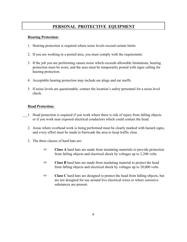#### **Hearing Protection:**

- 1. Hearing protection is required where noise levels exceed certain limits
- 2. If you are working in a posted area, you must comply with the requirement.
- 3. If the job you are performing causes noise which exceeds allowable limitations, hearing protection must be worn, and the area must be temporarily posted with signs calling for hearing protection.
- 4. Acceptable hearing protection may include ear plugs and ear muffs.
- 5. If noise levels are questionable, contact the location's safety personnel for a noise level check.

#### **Head Protection:**

- 1. Head protection is required if you work where there is risk of injury from falling objects or if you work near exposed electrical conductors which could contact the head.
- 2. Areas where overhead work is being performed must be clearly marked with hazard signs, and every effort must be made to barricade the area to keep traffic clear.
- 3. The three classes of hard hats are:
	- **Example 3 Class A** hard hats are made from insulating materials to provide protection from failing objects and electrical shock by voltages up to 2,200 volts.
	- **EXECT A** Class **B** hard hats are made from insulating material to protect the head from falling objects and electrical shock by voltages up to 20,000 volts.
	- **Exercise C** hard hats are designed to protect the head from falling objects, but are not designed for use around live electrical wires or where corrosive substances are present.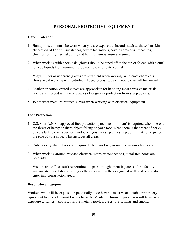#### **Hand Protection**

- 1. Hand protection must be worn when you are exposed to hazards such as those frm skin absorption of harmful substances, severe lacerations, severe abrasions, punctures, chemical burns, thermal burns, and harmful temperature extremes.
	- 2. When working with chemicals, gloves should be taped off at the top or folded with a cuff to keep liquids from running inside your glove or onto your skin.
	- 3. Vinyl, rubber or neoprene gloves are sufficient when working with most chemicals. However, if working with petroleum based products, a synthetic glove will be needed.
	- 4. Leather or cotton knitted gloves are appropriate for handling most abrasive materials. Gloves reinforced with metal staples offer greater protection from sharp objects.
	- 5. Do not wear metal-reinforced gloves when working with electrical equipment.

#### **Foot Protection**

- 1. C.S.A. or A.N.S.I. approved foot protection (steel toe minimum) is required when there is the threat of heavy or sharp object falling on your foot, when there is the threat of heavy objects falling over your feet, and when you may step on a sharp object that could pierce the sole of your shoe. This includes all areas.
	- 2. Rubber or synthetic boots are required when working around hazardous chemicals.
	- 3. When working around exposed electrical wires or connections, metal free boots are necessity.
	- 4. Visitors and office staff are permitted to pass through operating areas of the facility without steel toed shoes as long as they stay within the designated walk aisles, and do not enter into construction areas.

#### **Respiratory Equipment**

Workers who will be exposed to potentially toxic hazards must wear suitable respiratory equipment to protect against known hazards. Acute or chronic injury can result from over exposure to fumes, vapours, various metal particles, gases, dusts, mists and smoke.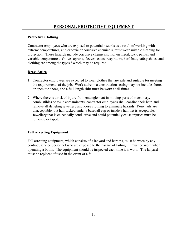#### **Protective Clothing**

Contractor employees who are exposed to potential hazards as a result of working with extreme temperatures, and/or toxic or corrosive chemicals, must wear suitable clothing for protection. These hazards include corrosive chemicals, molten metal, toxic paints, and variable temperatures. Gloves aprons, sleeves, coats, respirators, hard hats, safety shoes, and clothing are among the types f which may be required.

#### **Dress Attire**

- 1. Contractor employees are expected to wear clothes that are safe and suitable for meeting the requirements of the job. Work attire in a construction setting may not include shorts or open toe shoes, and a full length shirt must be worn at all times.
	- 2. Where there is a risk of injury from entanglement in moving parts of machinery, combustibles or toxic contaminants, contractor employees shall confine their hair, and remove all dangling jewellery and loose clothing to eliminate hazards. Pony tails are unacceptable, but hair tucked under a baseball cap or inside a hair net is acceptable. Jewellery that is eclectically conductive and could potentially cause injuries must be removed or taped.

# **Fall Arresting Equipment**

Fall arresting equipment, which consists of a lanyard and harness, must be worn by any contract/service personnel who are exposed to the hazard of failing. It must be worn when operating a boom. The equipment should be inspected each time it is worn. The lanyard must be replaced if used in the event of a fall.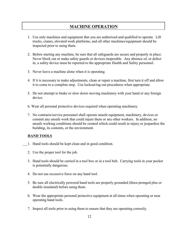# **MACHINE OPERATION**

- 1. Use only machines and equipment that you are authorized and qualified to operate. Lift trucks, cranes, elevated work platforms, and all other machines/equipment should be inspected prior to using them.
- 2. Before starting any machine, be sure that all safeguards are secure and properly in place. Never block out or make safety guards or devices inoperable. Any absence of, or defect in, a safety device must be reported to the appropriate Health and Safety personnel.
- 3. Never leave a machine alone when it is operating.
- 4. If it is necessary to make adjustments, clean or repair a machine, first turn it off and allow it to come to a complete stop. Use lockout/tag out procedures when appropriate.
- 5. Do not attempt to brake or slow down moving machinery with your hand or any foreign device.
- 6. Wear all personal protective devices required when operating machinery.
- 7. No contracts/service personnel shall operate unsafe equipment, machinery, devices or commit any unsafe work that could injure them or any other workers. In addition, no unsafe working conditions should be created which could result in injury or jeopardize the building, its contents, or the environment.

# **HAND TOOLS**

- 1. Hand tools should be kept clean and in good condition.
- 2. Use the proper tool for the job.
- 3. Hand tools should be carried in a tool box or in a tool belt. Carrying tools in your pocket is potentially dangerous.
- 4. Do not use excessive force on any hand tool.
- 5. Be sure all electrically powered hand tools are properly grounded (three-pronged plus or double insulated) before using them.
- 6. Wear the appropriate personal protective equipment at all times when operating or near operating hand tools.
- 7. Inspect all tools prior to using them to ensure that they are operating correctly.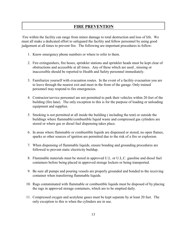# **FIRE PREVENTION**

Fire within the facility can range from minor damage to total destruction and loss of life. We must all make a dedicated effort to safeguard the facility and fellow personnel by using good judgement at all times to prevent fire. The following are important procedures to follow:

- 1. Know emergency phone numbers or where to refer to them.
- 2. Fire extinguishers, fire hoses, sprinkler stations and sprinkler heads must be kept clear of obstructions and accessible at all times. Any of these which are used , missing or inaccessible should be reported to Health and Safety personnel immediately.
- 3. Familiarize yourself with evacuation routes. In the event of a facility evacuation you are to leave through the nearest exit and meet in the front of the garage. Only trained personnel may respond to fire emergencies.
- 4. Contractor/service personnel are not permitted to park their vehicles within 20 feet of the building (fire lane). The only exception to this is for the purpose of loading or unloading equipment and supplies.
- 5. Smoking is not permitted at all inside the building ( including the tent) or outside the buildings where flammable/combustible liquid waste and compressed gas cylinders are stored or where gas or diesel fuel dispensing takes place.
- 6. In areas where flammable or combustible liquids are dispensed or stored, no open flames, sparks or other sources of ignition are permitted due to the risk of a fire or explosion.
- 7. When dispensing of flammable liquids, ensure bonding and grounding procedures are followed to prevent static electricity buildup.
- 8. Flammable materials must be stored in approved U.L. or U.L.C. gasoline and diesel fuel containers before being placed in approved storage lockers or being transported.
- 9. Be sure all pumps and pouring vessels are properly grounded and bonded to the receiving container when transferring flammable liquids.
- 10. Rags contaminated with flammable or combustible liquids must be disposed of by placing the rags in approved storage containers, which are to be emptied daily.
- 11. Compressed oxygen and acetylene gases must be kept separate by at least 20 feet. The only exception to this is when the cylinders are in use.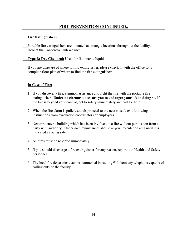# **FIRE PREVENTION CONTINUED..**

#### **Fire Extinguishers**

Portable fire extinguishers are mounted at strategic locations throughout the facility. Here at the Concordia Club we use:

**Type B: Dry Chemical:** Used for flammable liquids

If you are unaware of where to find extinguisher, please check in with the office for a complete floor plan of where to find the fire extinguishers.

#### **In Case of Fire:**

- 1. If you discover a fire, summon assistance and fight the fire with the portable fire extinguisher. **Under no circumstances are you to endanger your life in doing so.** If the fire is beyond your control, get to safety immediately and call for help.
	- 2. When the fire alarm is pulled/sounds proceed to the nearest safe exit following instructions from evacuation coordinators or employees.
	- 3. Never re-enter a building which has been involved in a fire without permission from a party with authority. Under no circumstances should anyone re-enter an area until it is indicated as being safe.
	- 4. All fires must be reported immediately.
	- 5. If you should discharge a fire extinguisher for any reason, report it to Health and Safety personnel.
	- 6. The local fire department can be summoned by calling 911 from any telephone capable of calling outside the facility.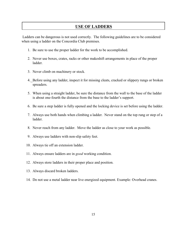# **USE OF LADDERS**

Ladders can be dangerous is not used correctly. The following guidelines are to be considered when using a ladder on the Concordia Club premises.

- 1. Be sure to use the proper ladder for the work to be accomplished.
- 2. Never use boxes, crates, racks or other makeshift arrangements in place of the proper ladder.
- 3. Never climb on machinery or stock.
- 4. Before using any ladder, inspect it for missing cleats, cracked or slippery rungs or broken spreaders.
- 5. When using a straight ladder, be sure the distance from the wall to the base of the ladder is about one-fourth the distance from the base to the ladder's support.
- 6. Be sure a step ladder is fully opened and the locking device is set before using the ladder.
- 7. Always use both hands when climbing a ladder. Never stand on the top rung or step of a ladder.
- 8. Never reach from any ladder. Move the ladder as close to your work as possible.
- 9. Always use ladders with non-slip safety feet.
- 10. Always tie off an extension ladder.
- 11. Always ensure ladders are in *good* working condition.
- 12. Always store ladders in their proper place and position.
- 13. Always discard broken ladders.
- 14. Do not use a metal ladder near live energized equipment. Example: Overhead cranes.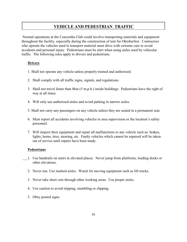# **VEHICLE AND PEDESTRIAN TRAFFIC**

Normal operations at the Concordia Club could involve transporting materials and equipment throughout the facility, especially during the construction of tent for Oktoberfest. Contractors who operate the vehicles used to transport material must drive with extreme care to avoid accidents and personal injury. Pedestrians must be alert when using aisles used by vehicular traffic. The following rules apply to drivers and pedestrians.

#### **Drivers**

- 1. Shall not operate any vehicle unless properly trained and authorized.
- 2. Shall comply with all traffic signs, signals, and regulations.
- 3. Shall not travel faster than 8km (5 m.p.h.) inside buildings. Pedestrians have the right of way at all times.
- 4. Will only use authorized aisles and avoid parking in narrow aisles.
- 5. Shall not carry any passengers on any vehicle unless they are seated in a permanent seat.
- 6. Must report all accidents involving vehicles to area supervision or the location's safety personnel.
- 7. Will inspect their equipment and repair all malfunctions to any vehicle such as: brakes, lights, horns, tires, steering, etc. Faulty vehicles which cannot be repaired will be taken out of service until repairs have been made.

#### **Pedestrians**

- 1. Use handrails on stairs in elevated places. Never jump from platforms, loading docks or other elevations.
- 2. Never run. Use marked aisles. Watch for moving equipment such as lift trucks.
- 3. Never take short cuts through other working areas. Use proper aisles.
- 4. Use caution to avoid tripping, stumbling or slipping.
- 5. Obey posted signs.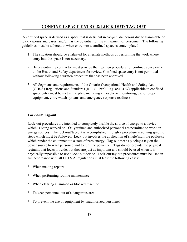# **CONFINED SPACE ENTRY & LOCK OUT/ TAG OUT**

A confined space is defined as a space that is deficient in oxygen, dangerous due to flammable or toxic vapours and gases, and/or has the potential for the entrapment of personnel. The following guidelines must be adhered to when entry into a confined space is contemplated:

- 1. The situation should be evaluated for alternate methods of performing the work where entry into the space is not necessary.
- 2. Before entry the contractor must provide their written procedure for confined space entry to the Health and Safety department for review. Confined space entry is not permitted without following a written procedure that has been approved.
- 3. All Segments and requirements of the Ontario Occupational Health and Safety Act (OHSA) Regulations and Standards (R.R.O. 1990, Reg. 851, s.67) applicable to confined space entry must be met in the plan, including atmospheric monitoring, use of proper equipment, entry watch systems and emergency response readiness.

# **Lock-out/ Tag-out**

Lock-out procedures are intended to completely disable the source of energy to a device which is being worked on. Only trained and authorized personnel are permitted to work on energy sources. The lock-out/tag-out is accomplished through a procedure involving specific steps which must be followed. Lock-out involves the application of single/multiple padlocks which render the equipment to a state of zero energy. Tag-out means placing a tag on the power source to warn personnel not to turn the power on. Tags do not provide the physical restraint that locks provide, but they are just as important and should be used when it is physically impossible to use a lock-out device. Lock-out/tag-out procedures must be used in full accordance with all O.H.S.A. regulations in at least the following cases:

- \* When making repairs
- \* When performing routine maintenance
- \* When clearing a jammed or blocked machine
- \* To keep personnel out of a dangerous area
- \* To prevent the use of equipment by unauthorized personnel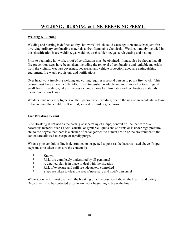# **WELDING , BURNING & LINE BREAKING PERMIT**

#### **Welding & Burning**

Welding and burning is defined as any "hot work" which could cause ignition and subsequent fire involving ordinary combustible materials and/or flammable chemicals. Work commonly included in this classification is arc welding, gas welding, torch soldering, gas torch cutting and heating.

Prior to beginning hot work, proof of certification must be obtained. It must also be shown that all fire prevention steps have been taken, including the removal of combustible and ignitable materials from the vicinity, wet tarp coverings, pedestrian and vehicle protection, adequate extinguishing equipment, fire watch provisions and notifications.

Over head work involving welding and cutting requires a second person to post a fire watch. This person must have at least a 5 lb. ABC fire extinguisher available and must know hot to extinguish small fires. In addition, take all necessary precautions for flammable and combustible materials located in the work area.

Welders must not carry lighters on their person when welding, due to the risk of an accidental release of butane fuel that could result in first, second or third degree burns.

#### **Line Breaking Permit**

Line Breaking is defined as the parting or separating of a pipe, conduit or line that carries a hazardous material such as acid, caustic, or ignitable liquids and solvents or is under high pressure, etc. to the degree that there is a chance of endangerment to human health or the environment it the content are allowed to escape or rapidly purge.

When a pipe conduit or line is determined or suspected to possess the hazards listed above. Proper steps must be taken to ensure the content is:

- \* Known
- \* Risks are completely understood by all personnel
- \* A detailed plan is in place to deal with the situation<br>\* Risk of exposure and spill are adequately controlled
- \* Risk of exposure and spill are adequately controlled<br>\* Steps are taken to clear the area if pecessary and notice
- Steps are taken to clear the area if necessary and notify personnel

When a contractor must deal with the breaking of a line described above, the Health and Safety Department is to be contacted prior to any work beginning to break the line.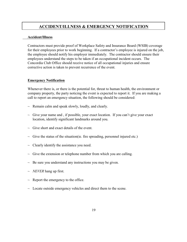# **ACCIDENT/ILLNESS & EMERGENCY NOTIFICATION**

#### **Accident/Illness**

Contractors must provide proof of Workplace Safety and Insurance Board (WSIB) coverage for their employees prior to work beginning. If a contractor's employee is injured on the job, the employee should notify his employer immediately. The contractor should ensure their employees understand the steps to be taken if an occupational incident occurs. The Concordia Club Office should receive notice of all occupational injuries and ensure corrective action is taken to prevent recurrence of the event.

#### **Emergency Notification**

Whenever there is, or there is the potential for, threat to human health, the environment or company property, the party noticing the event is expected to report it. If you are making a call to report an emergency situation, the following should be considered:

- $\sim$  Remain calm and speak slowly, loudly, and clearly.
- $\sim$  Give your name and, if possible, your exact location. If you can't give your exact location, identify significant landmarks around you.
- $\sim$  Give short and exact details of the event.
- $\sim$  Give the status of the situation (ie. fire spreading, personnel injured etc.)
- $\sim$  Clearly identify the assistance you need.
- $\sim$  Give the extension or telephone number from which you are calling.
- $\sim$  Be sure you understand any instructions you may be given.
- ~ *NEVER* hang up first.
- $\sim$  Report the emergency to the office.
- $\sim$  Locate outside emergency vehicles and direct them to the scene.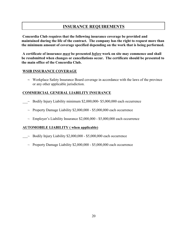# **INSURANCE REQUIREMENTS**

**Concordia Club requires that the following insurance coverage be provided and maintained during the life of the contract. The company has the right to request more than the minimum amount of coverage specified depending on the work that is being performed.**

**A certificate of insurance** *must* **be presented** *before* **work on site may commence and shall be resubmitted when changes or cancellations occur. The certificate should be presented to the main office of the Concordia Club.**

#### **WSIB INSURANCE COVERAGE**

**~** Workplace Safety Insurance Board coverage in accordance with the laws of the province or any other applicable jurisdiction.

# **COMMERCIAL GENERAL LIABILITY INSURANCE**

- $\sim$  Bodily Injury Liability minimum \$2,000,000- \$5,000,000 each occurrence
	- $\sim$  Property Damage Liability \$2,000,000 \$5,000,000 each occurrence
	- $\sim$  Employer's Liability Insurance \$2,000,000 \$5,000,000 each occurrence

# **AUTOMOBILE LIABILITY ( when applicable)**

- $\sim$  Bodily Injury Liability \$2,000,000 \$5,000,000 each occurrence
	- $\sim$  Property Damage Liability \$2,000,000 \$5,000,000 each occurrence